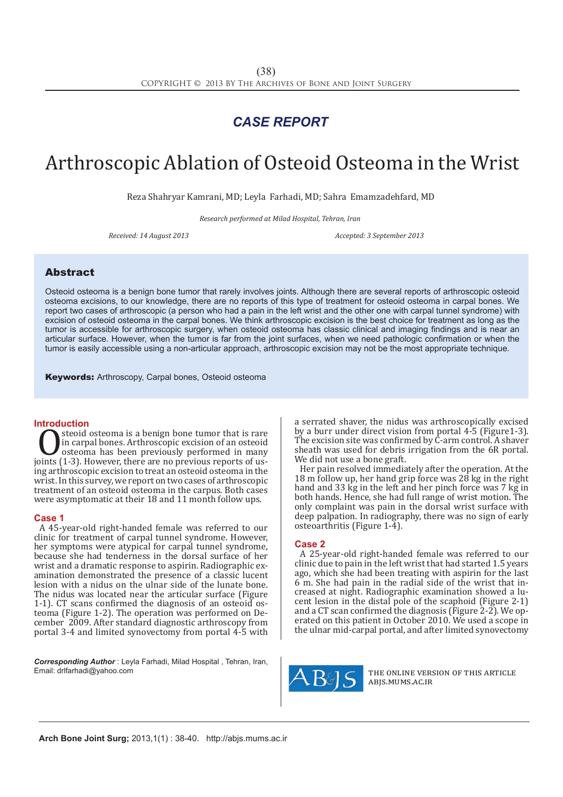## *CASE REPORT*

# Arthroscopic Ablation of Osteoid Osteoma in the Wrist

Reza Shahryar Kamrani, MD; Leyla Farhadi, MD; Sahra Emamzadehfard, MD

*Research performed at Milad Hospital, Tehran, Iran*

*Received: 14 August 2013 Accepted: 3 September 2013*

### Abstract

Osteoid osteoma is a benign bone tumor that rarely involves joints. Although there are several reports of arthroscopic osteoid osteoma excisions, to our knowledge, there are no reports of this type of treatment for osteoid osteoma in carpal bones. We report two cases of arthroscopic (a person who had a pain in the left wrist and the other one with carpal tunnel syndrome) with excision of osteoid osteoma in the carpal bones. We think arthroscopic excision is the best choice for treatment as long as the tumor is accessible for arthroscopic surgery, when osteoid osteoma has classic clinical and imaging findings and is near an articular surface. However, when the tumor is far from the joint surfaces, when we need pathologic confirmation or when the tumor is easily accessible using a non-articular approach, arthroscopic excision may not be the most appropriate technique.

Keywords: Arthroscopy, Carpal bones, Osteoid osteoma

**Introduction**<br>**Introduction**<br>**I** steoid osteoma is a benign bone tumor that is rare Steoid osteoma is a benign bone tumor that is rare<br>
in carpal bones. Arthroscopic excision of an osteoid<br>
joints (1-3). However, there are no previous reports of us-<br>
ing arthroscopic excision to treat an osteoid osteoma i in carpal bones. Arthroscopic excision of an osteoid osteoma has been previously performed in many ing arthroscopic excision to treat an osteoid osteoma in the wrist. In this survey, we report on two cases of arthroscopic treatment of an osteoid osteoma in the carpus. Both cases were asymptomatic at their 18 and 11 month follow ups.

#### **Case 1**

A 45-year-old right-handed female was referred to our clinic for treatment of carpal tunnel syndrome. However, her symptoms were atypical for carpal tunnel syndrome, because she had tenderness in the dorsal surface of her wrist and a dramatic response to aspirin. Radiographic examination demonstrated the presence of a classic lucent lesion with a nidus on the ulnar side of the lunate bone. The nidus was located near the articular surface (Figure 1-1). CT scans confirmed the diagnosis of an osteoid osteoma (Figure 1-2). The operation was performed on December 2009. After standard diagnostic arthroscopy from portal 3-4 and limited synovectomy from portal 4-5 with

*Corresponding Author* : Leyla Farhadi, Milad Hospital , Tehran, Iran, Email: drlfarhadi@yahoo.com

a serrated shaver, the nidus was arthroscopically excised by a burr under direct vision from portal 4-5 (Figure1-3). The excision site was confirmed by C-arm control. A shaver sheath was used for debris irrigation from the 6R portal. We did not use a bone graft.

Her pain resolved immediately after the operation. At the 18 m follow up, her hand grip force was 28 kg in the right hand and 33 kg in the left and her pinch force was 7 kg in both hands. Hence, she had full range of wrist motion. The only complaint was pain in the dorsal wrist surface with deep palpation. In radiography, there was no sign of early osteoarthritis (Figure 1-4).

#### **Case 2**

A 25-year-old right-handed female was referred to our clinic due to pain in the left wrist that had started 1.5 years ago, which she had been treating with aspirin for the last 6 m. She had pain in the radial side of the wrist that increased at night. Radiographic examination showed a lucent lesion in the distal pole of the scaphoid (Figure 2-1) and a CT scan confirmed the diagnosis (Figure 2-2). We operated on this patient in October 2010. We used a scope in the ulnar mid-carpal portal, and after limited synovectomy



the online version of this article abjs.mums.ac.ir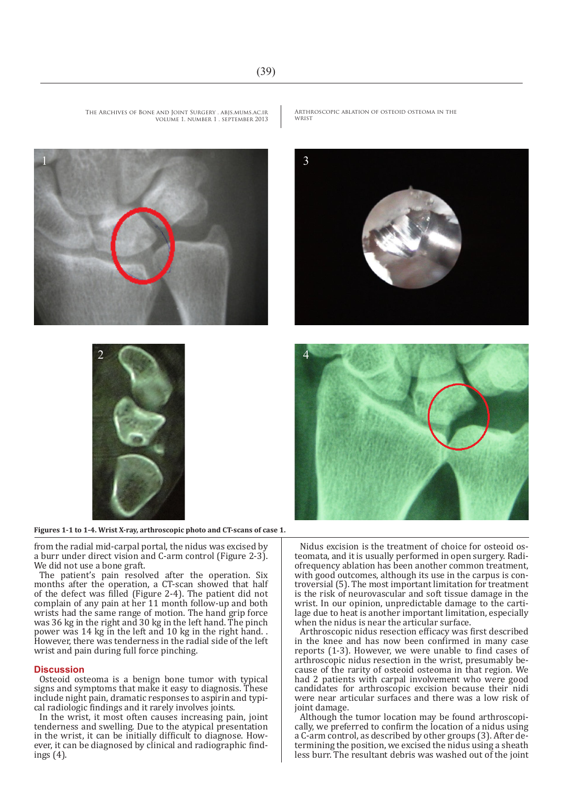



**Figures 1-1 to 1-4. Wrist X-ray, arthroscopic photo and CT-scans of case 1.**

from the radial mid-carpal portal, the nidus was excised by a burr under direct vision and C-arm control (Figure 2-3). We did not use a bone graft.

The patient's pain resolved after the operation. Six months after the operation, a CT-scan showed that half of the defect was filled (Figure 2-4). The patient did not complain of any pain at her 11 month follow-up and both wrists had the same range of motion. The hand grip force was 36 kg in the right and 30 kg in the left hand. The pinch power was 14 kg in the left and 10 kg in the right hand. . However, there was tenderness in the radial side of the left wrist and pain during full force pinching.

#### **Discussion**

1

Osteoid osteoma is a benign bone tumor with typical signs and symptoms that make it easy to diagnosis. These include night pain, dramatic responses to aspirin and typical radiologic findings and it rarely involves joints.

In the wrist, it most often causes increasing pain, joint tenderness and swelling. Due to the atypical presentation in the wrist, it can be initially difficult to diagnose. However, it can be diagnosed by clinical and radiographic findings (4).

Nidus excision is the treatment of choice for osteoid osteomata, and it is usually performed in open surgery. Radiof requency ablation has been another common treatment, with good outcomes, although its use in the carpus is controversial (5). The most important limitation for treatment is the risk of neurovascular and soft tissue damage in the wrist. In our opinion, unpredictable damage to the cartilage due to heat is another important limitation, especially when the nidus is near the articular surface.

Arthroscopic nidus resection efficacy was first described in the knee and has now been confirmed in many case reports (1-3). However, we were unable to find cases of arthroscopic nidus resection in the wrist, presumably because of the rarity of osteoid osteoma in that region. We had 2 patients with carpal involvement who were good candidates for arthroscopic excision because their nidi were near articular surfaces and there was a low risk of joint damage.

Although the tumor location may be found arthroscopically, we preferred to confirm the location of a nidus using a C-arm control, as described by other groups (3). After determining the position, we excised the nidus using a sheath less burr. The resultant debris was washed out of the joint

Arthroscopic ablation of osteoid osteoma in the wrist

2 4

The Archives of Bone and Joint Surgery . abjs.mums.ac.ir

volume 1. number 1 . september 2013